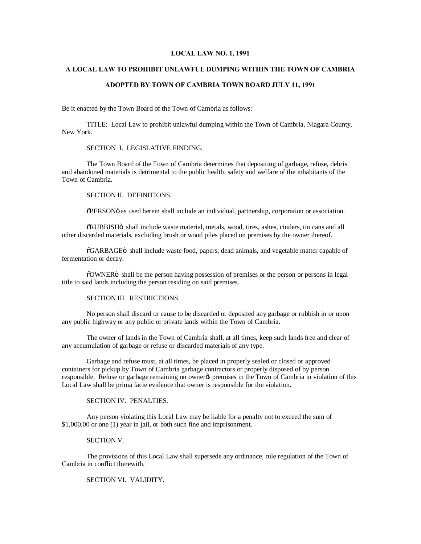## **LOCAL LAW NO. 1, 1991**

### **A LOCAL LAW TO PROHIBIT UNLAWFUL DUMPING WITHIN THE TOWN OF CAMBRIA**

#### **ADOPTED BY TOWN OF CAMBRIA TOWN BOARD JULY 11, 1991**

Be it enacted by the Town Board of the Town of Cambria as follows:

TITLE: Local Law to prohibit unlawful dumping within the Town of Cambria, Niagara County, New York.

### SECTION I. LEGISLATIVE FINDING.

The Town Board of the Town of Cambria determines that depositing of garbage, refuse, debris and abandoned materials is detrimental to the public health, safety and welfare of the inhabitants of the Town of Cambria.

## SECTION II. DEFINITIONS.

"PERSON" as used herein shall include an individual, partnership, corporation or association.

 $\delta$ RUBBISHÖ shall include waste material, metals, wood, tires, ashes, cinders, tin cans and all other discarded materials, excluding brush or wood piles placed on premises by the owner thereof.

 $\delta$ GARBAGE<sub>O</sub> shall include waste food, papers, dead animals, and vegetable matter capable of fermentation or decay.

"OWNER" shall be the person having possession of premises or the person or persons in legal title to said lands including the person residing on said premises.

### SECTION III. RESTRICTIONS.

No person shall discard or cause to be discarded or deposited any garbage or rubbish in or upon any public highway or any public or private lands within the Town of Cambria.

The owner of lands in the Town of Cambria shall, at all times, keep such lands free and clear of any accumulation of garbage or refuse or discarded materials of any type.

Garbage and refuse must, at all times, be placed in properly sealed or closed or approved containers for pickup by Town of Cambria garbage contractors or properly disposed of by person responsible. Refuse or garbage remaining on owner is premises in the Town of Cambria in violation of this Local Law shall be prima facie evidence that owner is responsible for the violation.

## SECTION IV. PENALTIES.

Any person violating this Local Law may be liable for a penalty not to exceed the sum of \$1,000.00 or one (1) year in jail, or both such fine and imprisonment.

#### SECTION V.

The provisions of this Local Law shall supersede any ordinance, rule regulation of the Town of Cambria in conflict therewith.

# SECTION VI. VALIDITY.